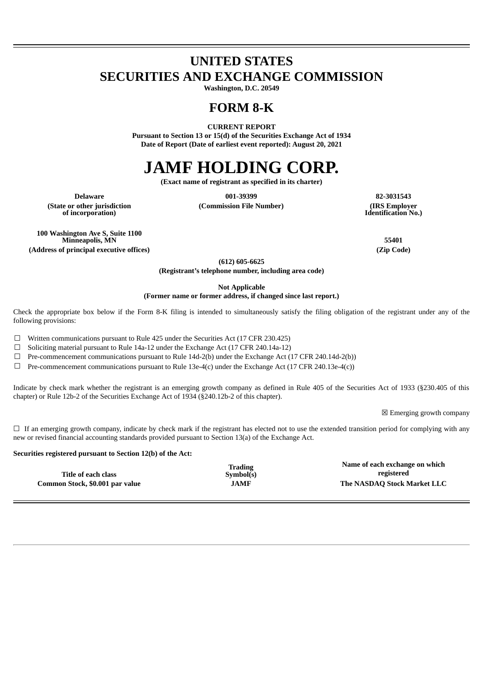## **UNITED STATES SECURITIES AND EXCHANGE COMMISSION**

**Washington, D.C. 20549**

### **FORM 8-K**

**CURRENT REPORT**

**Pursuant to Section 13 or 15(d) of the Securities Exchange Act of 1934 Date of Report (Date of earliest event reported): August 20, 2021**

# **JAMF HOLDING CORP.**

**(Exact name of registrant as specified in its charter)**

 $(Commission File Number)$ 

**Delaware 001-39399 82-3031543**

**(State or other jurisdiction of incorporation)**

**100 Washington Ave S, Suite 1100**

**(Address of principal executive offices) (Zip Code)**

**Minneapolis, MN 55401**

**Identification No.)**

**(612) 605-6625**

**(Registrant's telephone number, including area code)**

**Not Applicable**

**(Former name or former address, if changed since last report.)**

Check the appropriate box below if the Form 8-K filing is intended to simultaneously satisfy the filing obligation of the registrant under any of the following provisions:

☐ Written communications pursuant to Rule 425 under the Securities Act (17 CFR 230.425)

☐ Soliciting material pursuant to Rule 14a-12 under the Exchange Act (17 CFR 240.14a-12)

 $\Box$  Pre-commencement communications pursuant to Rule 14d-2(b) under the Exchange Act (17 CFR 240.14d-2(b))

 $\Box$  Pre-commencement communications pursuant to Rule 13e-4(c) under the Exchange Act (17 CFR 240.13e-4(c))

Indicate by check mark whether the registrant is an emerging growth company as defined in Rule 405 of the Securities Act of 1933 (§230.405 of this chapter) or Rule 12b-2 of the Securities Exchange Act of 1934 (§240.12b-2 of this chapter).

☒ Emerging growth company

 $\Box$  If an emerging growth company, indicate by check mark if the registrant has elected not to use the extended transition period for complying with any new or revised financial accounting standards provided pursuant to Section 13(a) of the Exchange Act.

**Securities registered pursuant to Section 12(b) of the Act:**

|                                 | <b>Trading</b> | Name of each exchange on which |
|---------------------------------|----------------|--------------------------------|
| Title of each class             | Symbol(s)      | registered                     |
| Common Stock, \$0.001 par value | JAMF           | The NASDAQ Stock Market LLC    |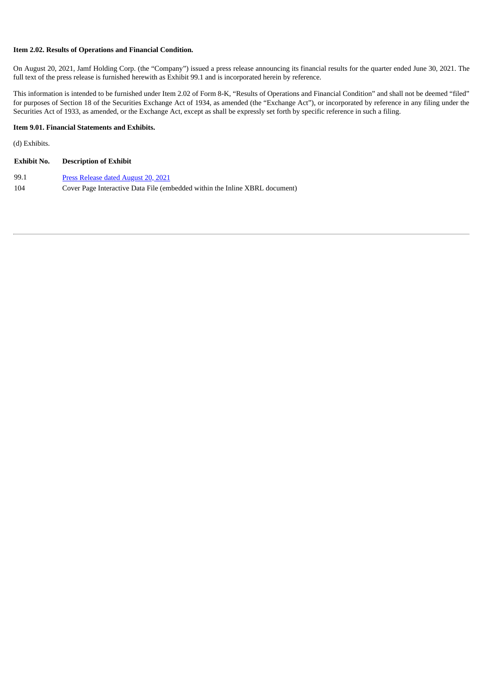#### **Item 2.02. Results of Operations and Financial Condition.**

On August 20, 2021, Jamf Holding Corp. (the "Company") issued a press release announcing its financial results for the quarter ended June 30, 2021. The full text of the press release is furnished herewith as Exhibit 99.1 and is incorporated herein by reference.

This information is intended to be furnished under Item 2.02 of Form 8-K, "Results of Operations and Financial Condition" and shall not be deemed "filed" for purposes of Section 18 of the Securities Exchange Act of 1934, as amended (the "Exchange Act"), or incorporated by reference in any filing under the Securities Act of 1933, as amended, or the Exchange Act, except as shall be expressly set forth by specific reference in such a filing.

#### **Item 9.01. Financial Statements and Exhibits.**

(d) Exhibits.

| Exhibit No. | <b>Description of Exhibit</b>                                               |
|-------------|-----------------------------------------------------------------------------|
| 99.1        | Press Release dated August 20, 2021                                         |
| 104         | Cover Page Interactive Data File (embedded within the Inline XBRL document) |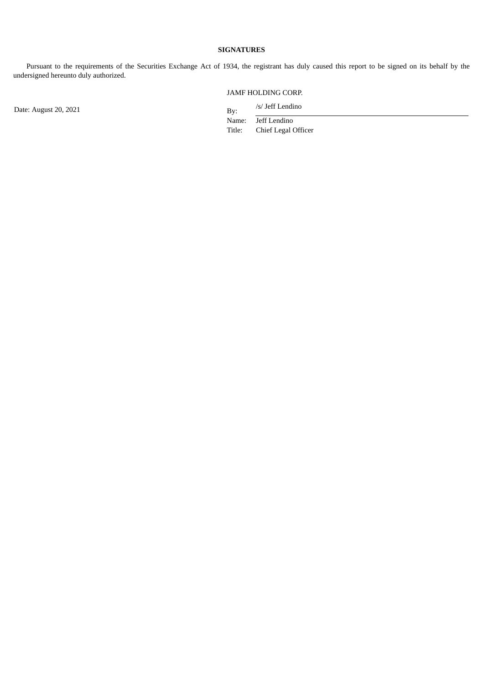#### **SIGNATURES**

Pursuant to the requirements of the Securities Exchange Act of 1934, the registrant has duly caused this report to be signed on its behalf by the undersigned hereunto duly authorized.

#### JAMF HOLDING CORP.

Date: August 20, 2021 By:

/s/ Jeff Lendino

Name: Jeff Lendino Title: Chief Legal Officer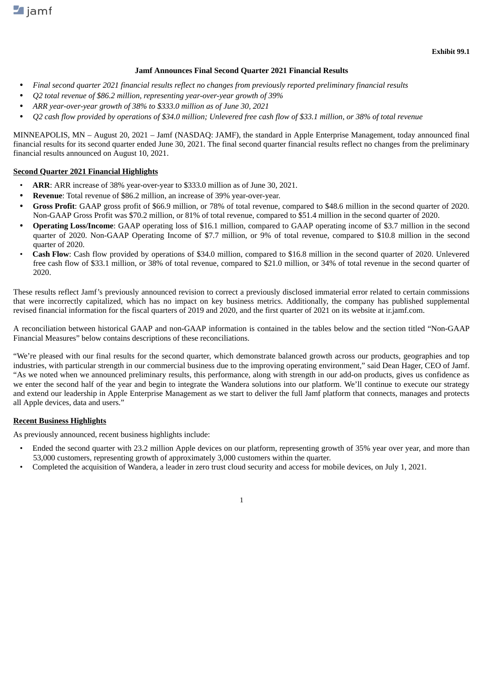#### **Jamf Announces Final Second Quarter 2021 Financial Results**

- <span id="page-3-0"></span>• *Final second quarter 2021 financial results reflect no changes from previously reported preliminary financial results*
- *Q2 total revenue of \$86.2 million, representing year-over-year growth of 39%*
- *ARR year-over-year growth of 38% to \$333.0 million as of June 30, 2021*
- Q2 cash flow provided by operations of \$34.0 million; Unlevered free cash flow of \$33.1 million, or 38% of total revenue

MINNEAPOLIS, MN – August 20, 2021 – Jamf (NASDAQ: JAMF), the standard in Apple Enterprise Management, today announced final financial results for its second quarter ended June 30, 2021. The final second quarter financial results reflect no changes from the preliminary financial results announced on August 10, 2021.

#### **Second Quarter 2021 Financial Highlights**

- **ARR**: ARR increase of 38% year-over-year to \$333.0 million as of June 30, 2021.
- **Revenue:** Total revenue of \$86.2 million, an increase of 39% year-over-year.
- **Gross Profit**: GAAP gross profit of \$66.9 million, or 78% of total revenue, compared to \$48.6 million in the second quarter of 2020. Non-GAAP Gross Profit was \$70.2 million, or 81% of total revenue, compared to \$51.4 million in the second quarter of 2020.
- **Operating Loss/Income**: GAAP operating loss of \$16.1 million, compared to GAAP operating income of \$3.7 million in the second quarter of 2020. Non-GAAP Operating Income of \$7.7 million, or 9% of total revenue, compared to \$10.8 million in the second quarter of 2020.
- **Cash Flow**: Cash flow provided by operations of \$34.0 million, compared to \$16.8 million in the second quarter of 2020. Unlevered free cash flow of \$33.1 million, or 38% of total revenue, compared to \$21.0 million, or 34% of total revenue in the second quarter of 2020.

These results reflect Jamf's previously announced revision to correct a previously disclosed immaterial error related to certain commissions that were incorrectly capitalized, which has no impact on key business metrics. Additionally, the company has published supplemental revised financial information for the fiscal quarters of 2019 and 2020, and the first quarter of 2021 on its website at ir.jamf.com.

A reconciliation between historical GAAP and non-GAAP information is contained in the tables below and the section titled "Non-GAAP Financial Measures" below contains descriptions of these reconciliations.

"We're pleased with our final results for the second quarter, which demonstrate balanced growth across our products, geographies and top industries, with particular strength in our commercial business due to the improving operating environment," said Dean Hager, CEO of Jamf. "As we noted when we announced preliminary results, this performance, along with strength in our add-on products, gives us confidence as we enter the second half of the year and begin to integrate the Wandera solutions into our platform. We'll continue to execute our strategy and extend our leadership in Apple Enterprise Management as we start to deliver the full Jamf platform that connects, manages and protects all Apple devices, data and users."

#### **Recent Business Highlights**

As previously announced, recent business highlights include:

- Ended the second quarter with 23.2 million Apple devices on our platform, representing growth of 35% year over year, and more than 53,000 customers, representing growth of approximately 3,000 customers within the quarter.
- Completed the acquisition of Wandera, a leader in zero trust cloud security and access for mobile devices, on July 1, 2021.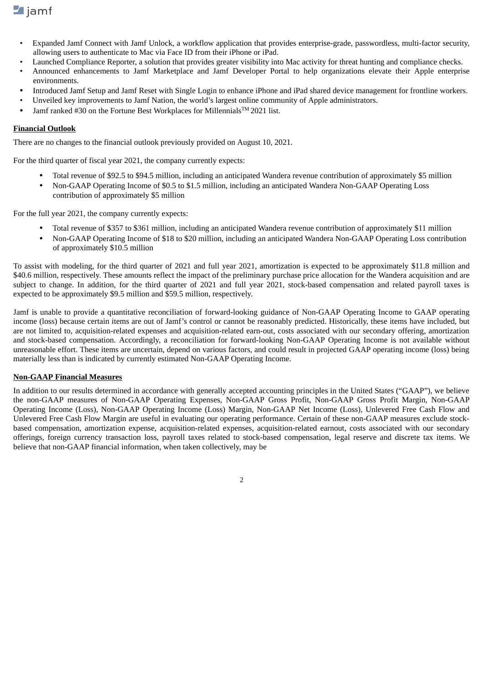## **L**jamf

- Expanded Jamf Connect with Jamf Unlock, a workflow application that provides enterprise-grade, passwordless, multi-factor security, allowing users to authenticate to Mac via Face ID from their iPhone or iPad.
- Launched Compliance Reporter, a solution that provides greater visibility into Mac activity for threat hunting and compliance checks.
- Announced enhancements to Jamf Marketplace and Jamf Developer Portal to help organizations elevate their Apple enterprise environments.
- Introduced Jamf Setup and Jamf Reset with Single Login to enhance iPhone and iPad shared device management for frontline workers.
	- Unveiled key improvements to Jamf Nation, the world's largest online community of Apple administrators.
- Jamf ranked #30 on the Fortune Best Workplaces for Millennials<sup>TM</sup> 2021 list.

#### **Financial Outlook**

There are no changes to the financial outlook previously provided on August 10, 2021.

For the third quarter of fiscal year 2021, the company currently expects:

- Total revenue of \$92.5 to \$94.5 million, including an anticipated Wandera revenue contribution of approximately \$5 million
- Non-GAAP Operating Income of \$0.5 to \$1.5 million, including an anticipated Wandera Non-GAAP Operating Loss contribution of approximately \$5 million

For the full year 2021, the company currently expects:

- Total revenue of \$357 to \$361 million, including an anticipated Wandera revenue contribution of approximately \$11 million
- Non-GAAP Operating Income of \$18 to \$20 million, including an anticipated Wandera Non-GAAP Operating Loss contribution of approximately \$10.5 million

To assist with modeling, for the third quarter of 2021 and full year 2021, amortization is expected to be approximately \$11.8 million and \$40.6 million, respectively. These amounts reflect the impact of the preliminary purchase price allocation for the Wandera acquisition and are subject to change. In addition, for the third quarter of 2021 and full year 2021, stock-based compensation and related payroll taxes is expected to be approximately \$9.5 million and \$59.5 million, respectively.

Jamf is unable to provide a quantitative reconciliation of forward-looking guidance of Non-GAAP Operating Income to GAAP operating income (loss) because certain items are out of Jamf's control or cannot be reasonably predicted. Historically, these items have included, but are not limited to, acquisition-related expenses and acquisition-related earn-out, costs associated with our secondary offering, amortization and stock-based compensation. Accordingly, a reconciliation for forward-looking Non-GAAP Operating Income is not available without unreasonable effort. These items are uncertain, depend on various factors, and could result in projected GAAP operating income (loss) being materially less than is indicated by currently estimated Non-GAAP Operating Income.

#### **Non-GAAP Financial Measures**

In addition to our results determined in accordance with generally accepted accounting principles in the United States ("GAAP"), we believe the non-GAAP measures of Non-GAAP Operating Expenses, Non-GAAP Gross Profit, Non-GAAP Gross Profit Margin, Non-GAAP Operating Income (Loss), Non-GAAP Operating Income (Loss) Margin, Non-GAAP Net Income (Loss), Unlevered Free Cash Flow and Unlevered Free Cash Flow Margin are useful in evaluating our operating performance. Certain of these non-GAAP measures exclude stockbased compensation, amortization expense, acquisition-related expenses, acquisition-related earnout, costs associated with our secondary offerings, foreign currency transaction loss, payroll taxes related to stock-based compensation, legal reserve and discrete tax items. We believe that non-GAAP financial information, when taken collectively, may be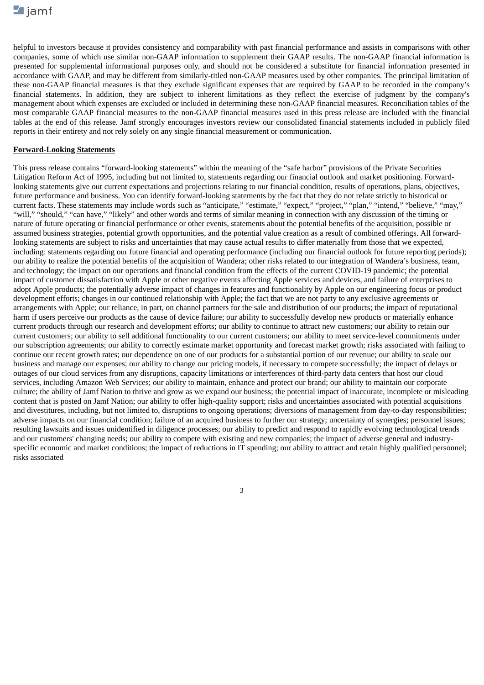helpful to investors because it provides consistency and comparability with past financial performance and assists in comparisons with other companies, some of which use similar non-GAAP information to supplement their GAAP results. The non-GAAP financial information is presented for supplemental informational purposes only, and should not be considered a substitute for financial information presented in accordance with GAAP, and may be different from similarly-titled non-GAAP measures used by other companies. The principal limitation of these non-GAAP financial measures is that they exclude significant expenses that are required by GAAP to be recorded in the company's financial statements. In addition, they are subject to inherent limitations as they reflect the exercise of judgment by the company's management about which expenses are excluded or included in determining these non-GAAP financial measures. Reconciliation tables of the most comparable GAAP financial measures to the non-GAAP financial measures used in this press release are included with the financial tables at the end of this release. Jamf strongly encourages investors review our consolidated financial statements included in publicly filed reports in their entirety and not rely solely on any single financial measurement or communication.

#### **Forward-Looking Statements**

This press release contains "forward-looking statements" within the meaning of the "safe harbor" provisions of the Private Securities Litigation Reform Act of 1995, including but not limited to, statements regarding our financial outlook and market positioning. Forwardlooking statements give our current expectations and projections relating to our financial condition, results of operations, plans, objectives, future performance and business. You can identify forward-looking statements by the fact that they do not relate strictly to historical or current facts. These statements may include words such as "anticipate," "estimate," "expect," "project," "plan," "intend," "believe," "may," "will," "should," "can have," "likely" and other words and terms of similar meaning in connection with any discussion of the timing or nature of future operating or financial performance or other events, statements about the potential benefits of the acquisition, possible or assumed business strategies, potential growth opportunities, and the potential value creation as a result of combined offerings. All forwardlooking statements are subject to risks and uncertainties that may cause actual results to differ materially from those that we expected, including: statements regarding our future financial and operating performance (including our financial outlook for future reporting periods); our ability to realize the potential benefits of the acquisition of Wandera; other risks related to our integration of Wandera's business, team, and technology; the impact on our operations and financial condition from the effects of the current COVID-19 pandemic; the potential impact of customer dissatisfaction with Apple or other negative events affecting Apple services and devices, and failure of enterprises to adopt Apple products; the potentially adverse impact of changes in features and functionality by Apple on our engineering focus or product development efforts; changes in our continued relationship with Apple; the fact that we are not party to any exclusive agreements or arrangements with Apple; our reliance, in part, on channel partners for the sale and distribution of our products; the impact of reputational harm if users perceive our products as the cause of device failure; our ability to successfully develop new products or materially enhance current products through our research and development efforts; our ability to continue to attract new customers; our ability to retain our current customers; our ability to sell additional functionality to our current customers; our ability to meet service-level commitments under our subscription agreements; our ability to correctly estimate market opportunity and forecast market growth; risks associated with failing to continue our recent growth rates; our dependence on one of our products for a substantial portion of our revenue; our ability to scale our business and manage our expenses; our ability to change our pricing models, if necessary to compete successfully; the impact of delays or outages of our cloud services from any disruptions, capacity limitations or interferences of third-party data centers that host our cloud services, including Amazon Web Services; our ability to maintain, enhance and protect our brand; our ability to maintain our corporate culture; the ability of Jamf Nation to thrive and grow as we expand our business; the potential impact of inaccurate, incomplete or misleading content that is posted on Jamf Nation; our ability to offer high-quality support; risks and uncertainties associated with potential acquisitions and divestitures, including, but not limited to, disruptions to ongoing operations; diversions of management from day-to-day responsibilities; adverse impacts on our financial condition; failure of an acquired business to further our strategy; uncertainty of synergies; personnel issues; resulting lawsuits and issues unidentified in diligence processes; our ability to predict and respond to rapidly evolving technological trends and our customers' changing needs; our ability to compete with existing and new companies; the impact of adverse general and industryspecific economic and market conditions; the impact of reductions in IT spending; our ability to attract and retain highly qualified personnel; risks associated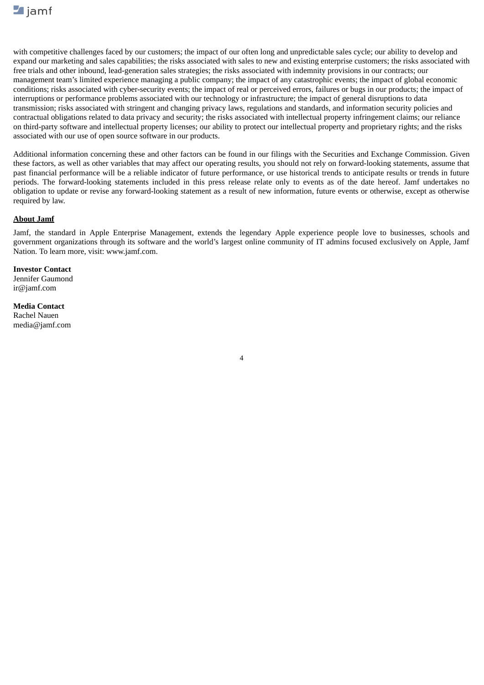with competitive challenges faced by our customers; the impact of our often long and unpredictable sales cycle; our ability to develop and expand our marketing and sales capabilities; the risks associated with sales to new and existing enterprise customers; the risks associated with free trials and other inbound, lead-generation sales strategies; the risks associated with indemnity provisions in our contracts; our management team's limited experience managing a public company; the impact of any catastrophic events; the impact of global economic conditions; risks associated with cyber-security events; the impact of real or perceived errors, failures or bugs in our products; the impact of interruptions or performance problems associated with our technology or infrastructure; the impact of general disruptions to data transmission; risks associated with stringent and changing privacy laws, regulations and standards, and information security policies and contractual obligations related to data privacy and security; the risks associated with intellectual property infringement claims; our reliance on third-party software and intellectual property licenses; our ability to protect our intellectual property and proprietary rights; and the risks associated with our use of open source software in our products.

Additional information concerning these and other factors can be found in our filings with the Securities and Exchange Commission. Given these factors, as well as other variables that may affect our operating results, you should not rely on forward-looking statements, assume that past financial performance will be a reliable indicator of future performance, or use historical trends to anticipate results or trends in future periods. The forward-looking statements included in this press release relate only to events as of the date hereof. Jamf undertakes no obligation to update or revise any forward-looking statement as a result of new information, future events or otherwise, except as otherwise required by law.

#### **About Jamf**

Jamf, the standard in Apple Enterprise Management, extends the legendary Apple experience people love to businesses, schools and government organizations through its software and the world's largest online community of IT admins focused exclusively on Apple, Jamf Nation. To learn more, visit: www.jamf.com.

**Investor Contact** Jennifer Gaumond ir@jamf.com

**Media Contact** Rachel Nauen media@jamf.com

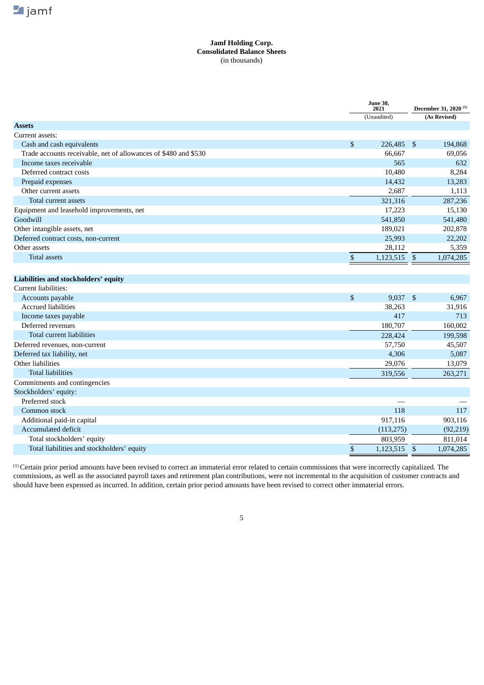#### **Jamf Holding Corp. Consolidated Balance Sheets** (in thousands)

|                                                                 | <b>June 30,</b><br>2021 |             |                | December 31, 2020 <sup>(1)</sup> |  |  |
|-----------------------------------------------------------------|-------------------------|-------------|----------------|----------------------------------|--|--|
|                                                                 |                         | (Unaudited) |                | (As Revised)                     |  |  |
| <b>Assets</b>                                                   |                         |             |                |                                  |  |  |
| Current assets:                                                 |                         |             |                |                                  |  |  |
| Cash and cash equivalents                                       | $\$$                    | 226,485     | - \$           | 194,868                          |  |  |
| Trade accounts receivable, net of allowances of \$480 and \$530 |                         | 66,667      |                | 69,056                           |  |  |
| Income taxes receivable                                         |                         | 565         |                | 632                              |  |  |
| Deferred contract costs                                         |                         | 10,480      |                | 8,284                            |  |  |
| Prepaid expenses                                                |                         | 14,432      |                | 13,283                           |  |  |
| Other current assets                                            |                         | 2,687       |                | 1,113                            |  |  |
| Total current assets                                            |                         | 321,316     |                | 287,236                          |  |  |
| Equipment and leasehold improvements, net                       |                         | 17,223      |                | 15,130                           |  |  |
| Goodwill                                                        |                         | 541,850     |                | 541,480                          |  |  |
| Other intangible assets, net                                    |                         | 189,021     |                | 202,878                          |  |  |
| Deferred contract costs, non-current                            |                         | 25,993      |                | 22,202                           |  |  |
| Other assets                                                    |                         | 28,112      |                | 5,359                            |  |  |
| <b>Total assets</b>                                             | \$                      | 1,123,515   | $\mathfrak{s}$ | 1,074,285                        |  |  |
|                                                                 |                         |             |                |                                  |  |  |
| Liabilities and stockholders' equity                            |                         |             |                |                                  |  |  |
| Current liabilities:                                            |                         |             |                |                                  |  |  |
| Accounts payable                                                | \$                      | 9,037       | - \$           | 6,967                            |  |  |
| <b>Accrued liabilities</b>                                      |                         | 38,263      |                | 31,916                           |  |  |
| Income taxes payable                                            |                         | 417         |                | 713                              |  |  |
| Deferred revenues                                               |                         | 180,707     |                | 160,002                          |  |  |
| Total current liabilities                                       |                         | 228,424     |                | 199,598                          |  |  |
| Deferred revenues, non-current                                  |                         | 57,750      |                | 45,507                           |  |  |
| Deferred tax liability, net                                     |                         | 4,306       |                | 5,087                            |  |  |
| Other liabilities                                               |                         | 29,076      |                | 13,079                           |  |  |
| <b>Total liabilities</b>                                        |                         | 319,556     |                | 263,271                          |  |  |
| Commitments and contingencies                                   |                         |             |                |                                  |  |  |
| Stockholders' equity:                                           |                         |             |                |                                  |  |  |
| Preferred stock                                                 |                         |             |                |                                  |  |  |
| Common stock                                                    |                         | 118         |                | 117                              |  |  |
| Additional paid-in capital                                      |                         | 917,116     |                | 903,116                          |  |  |
| Accumulated deficit                                             |                         | (113, 275)  |                | (92, 219)                        |  |  |
| Total stockholders' equity                                      |                         | 803,959     |                | 811,014                          |  |  |
| Total liabilities and stockholders' equity                      | \$                      | 1,123,515   | $\mathfrak{s}$ | 1,074,285                        |  |  |

 $<sup>(1)</sup>$  Certain prior period amounts have been revised to correct an immaterial error related to certain commissions that were incorrectly capitalized. The</sup> commissions, as well as the associated payroll taxes and retirement plan contributions, were not incremental to the acquisition of customer contracts and should have been expensed as incurred. In addition, certain prior period amounts have been revised to correct other immaterial errors.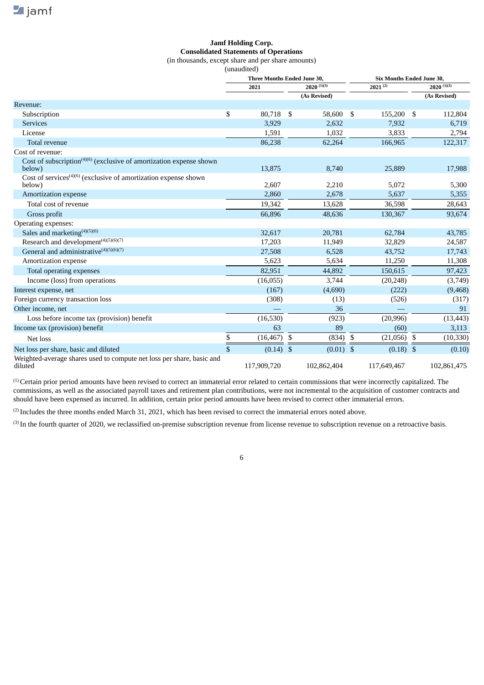#### **Jamf Holding Corp. Consolidated Statements of Operations** (in thousands, except share and per share amounts)

.<br>*(*unaudited)

|                                                                                                        |               | Three Months Ended June 30, |                 | <b>Six Months Ended June 30,</b> |                 |
|--------------------------------------------------------------------------------------------------------|---------------|-----------------------------|-----------------|----------------------------------|-----------------|
|                                                                                                        |               | 2021                        | $2020^{(1)(3)}$ | $2021^{(2)}$                     | $2020^{(1)(3)}$ |
|                                                                                                        |               |                             | (As Revised)    |                                  | (As Revised)    |
| Revenue:                                                                                               |               |                             |                 |                                  |                 |
| Subscription                                                                                           | \$            | 80,718                      | \$<br>58,600    | \$<br>155,200                    | \$<br>112,804   |
| <b>Services</b>                                                                                        |               | 3,929                       | 2,632           | 7,932                            | 6,719           |
| License                                                                                                |               | 1,591                       | 1,032           | 3,833                            | 2,794           |
| Total revenue                                                                                          |               | 86,238                      | 62,264          | 166,965                          | 122,317         |
| Cost of revenue:                                                                                       |               |                             |                 |                                  |                 |
| Cost of subscription <sup><math>(4)(6)</math></sup> (exclusive of amortization expense shown<br>below) |               | 13,875                      | 8,740           | 25,889                           | 17,988          |
| Cost of services <sup><math>(4)(6)</math></sup> (exclusive of amortization expense shown<br>below)     |               | 2,607                       | 2,210           | 5,072                            | 5,300           |
| <b>Amortization expense</b>                                                                            |               | 2,860                       | 2,678           | 5,637                            | 5,355           |
| Total cost of revenue                                                                                  |               | 19,342                      | 13,628          | 36,598                           | 28,643          |
| Gross profit                                                                                           |               | 66,896                      | 48,636          | 130,367                          | 93,674          |
| Operating expenses:                                                                                    |               |                             |                 |                                  |                 |
| Sales and marketing $(4)(5)(6)$                                                                        |               | 32,617                      | 20,781          | 62,784                           | 43,785          |
| Research and development <sup>(4)(5)(6)(7)</sup>                                                       |               | 17,203                      | 11,949          | 32,829                           | 24,587          |
| General and administrative <sup><math>(4)(5)(6)(7)</math></sup>                                        |               | 27,508                      | 6,528           | 43,752                           | 17,743          |
| Amortization expense                                                                                   |               | 5,623                       | 5,634           | 11,250                           | 11,308          |
| Total operating expenses                                                                               |               | 82,951                      | 44,892          | 150,615                          | 97,423          |
| Income (loss) from operations                                                                          |               | (16, 055)                   | 3,744           | (20, 248)                        | (3,749)         |
| Interest expense, net                                                                                  |               | (167)                       | (4,690)         | (222)                            | (9,468)         |
| Foreign currency transaction loss                                                                      |               | (308)                       | (13)            | (526)                            | (317)           |
| Other income, net                                                                                      |               |                             | 36              |                                  | 91              |
| Loss before income tax (provision) benefit                                                             |               | (16,530)                    | (923)           | (20, 996)                        | (13, 443)       |
| Income tax (provision) benefit                                                                         |               | 63                          | 89              | (60)                             | 3,113           |
| Net loss                                                                                               | \$            | (16, 467)                   | \$<br>(834)     | \$<br>$(21,056)$ \$              | (10, 330)       |
| Net loss per share, basic and diluted                                                                  | $\mathcal{S}$ | $(0.14)$ \$                 | $(0.01)$ \$     | $(0.18)$ \$                      | (0.10)          |
| Weighted-average shares used to compute net loss per share, basic and<br>diluted                       |               | 117,909,720                 | 102.862.404     | 117,649,467                      | 102,861,475     |

 $<sup>(1)</sup>$  Certain prior period amounts have been revised to correct an immaterial error related to certain commissions that were incorrectly capitalized. The</sup> commissions, as well as the associated payroll taxes and retirement plan contributions, were not incremental to the acquisition of customer contracts and should have been expensed as incurred. In addition, certain prior period amounts have been revised to correct other immaterial errors.

 $^{(2)}$  Includes the three months ended March 31, 2021, which has been revised to correct the immaterial errors noted above.

 $^{(3)}$  In the fourth quarter of 2020, we reclassified on-premise subscription revenue from license revenue to subscription revenue on a retroactive basis.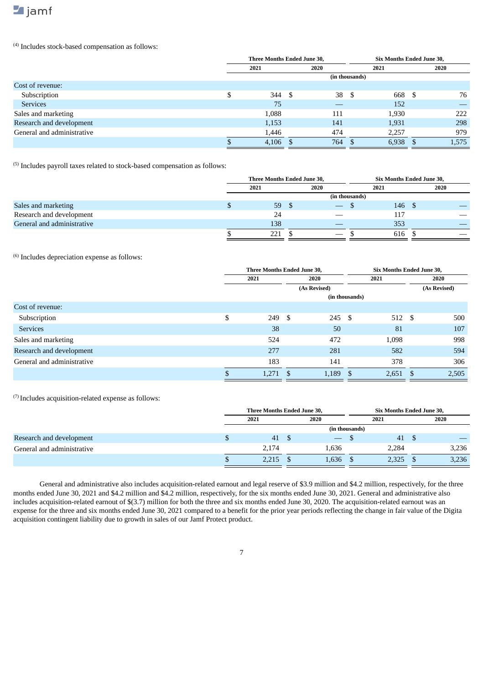

 $<sup>(4)</sup>$  Includes stock-based compensation as follows:</sup>

|                            |           | Three Months Ended June 30, | Six Months Ended June 30, |              |  |  |
|----------------------------|-----------|-----------------------------|---------------------------|--------------|--|--|
|                            | 2021      | 2020                        | 2021                      | 2020         |  |  |
|                            |           |                             | (in thousands)            |              |  |  |
| Cost of revenue:           |           |                             |                           |              |  |  |
| Subscription               | \$<br>344 | 38<br>- \$                  | 668 \$<br>- \$            | 76           |  |  |
| <b>Services</b>            | 75        |                             | 152                       |              |  |  |
| Sales and marketing        | 1,088     | 111                         | 1,930                     | 222          |  |  |
| Research and development   | 1,153     | 141                         | 1,931                     | 298          |  |  |
| General and administrative | 1,446     | 474                         | 2,257                     | 979          |  |  |
|                            | 4,106     | 764                         | 6,938<br>-S               | 1,575<br>- 8 |  |  |

 $(5)$  Includes payroll taxes related to stock-based compensation as follows:

|                            | Three Months Ended June 30, |                          |  | <b>Six Months Ended June 30,</b> |  |      |
|----------------------------|-----------------------------|--------------------------|--|----------------------------------|--|------|
|                            | 2021                        | 2020                     |  | 2021                             |  | 2020 |
|                            |                             |                          |  |                                  |  |      |
| Sales and marketing        | 59                          | - S<br>$\hspace{0.05cm}$ |  | $146 \quad$ \$                   |  |      |
| Research and development   | 24                          |                          |  | 117                              |  |      |
| General and administrative | 138                         |                          |  | 353                              |  |      |
|                            | 221                         |                          |  | 616                              |  |      |

 $<sup>(6)</sup>$  Includes depreciation expense as follows:</sup>

|                            | Three Months Ended June 30, |       |      | Six Months Ended June 30, |      |            |      |              |
|----------------------------|-----------------------------|-------|------|---------------------------|------|------------|------|--------------|
|                            | 2021                        |       | 2020 |                           | 2021 |            | 2020 |              |
|                            |                             |       |      | (As Revised)              |      |            |      | (As Revised) |
|                            |                             |       |      | (in thousands)            |      |            |      |              |
| Cost of revenue:           |                             |       |      |                           |      |            |      |              |
| Subscription               | \$                          | 249   | - \$ | $245 \text{ }$ \$         |      | 512 \$     |      | 500          |
| <b>Services</b>            |                             | 38    |      | 50                        |      | 81         |      | 107          |
| Sales and marketing        |                             | 524   |      | 472                       |      | 1,098      |      | 998          |
| Research and development   |                             | 277   |      | 281                       |      | 582        |      | 594          |
| General and administrative |                             | 183   |      | 141                       |      | 378        |      | 306          |
|                            |                             | 1,271 | -\$  | 1,189                     | -\$  | $2,651$ \$ |      | 2,505        |

 $(7)$  Includes acquisition-related expense as follows:

|                            | Three Months Ended June 30, |       |  | <b>Six Months Ended June 30,</b> |                |       |              |       |
|----------------------------|-----------------------------|-------|--|----------------------------------|----------------|-------|--------------|-------|
|                            |                             | 2021  |  | 2020                             |                | 2021  |              | 2020  |
|                            |                             |       |  |                                  | (in thousands) |       |              |       |
| Research and development   |                             | 41 \$ |  | $\overline{\phantom{m}}$         |                | 41    | $\mathbf{s}$ |       |
| General and administrative |                             | 2,174 |  | 1,636                            |                | 2,284 |              | 3,236 |
|                            |                             | 2,215 |  | 1,636                            |                | 2,325 |              | 3,236 |

General and administrative also includes acquisition-related earnout and legal reserve of \$3.9 million and \$4.2 million, respectively, for the three months ended June 30, 2021 and \$4.2 million and \$4.2 million, respectively, for the six months ended June 30, 2021. General and administrative also includes acquisition-related earnout of \$(3.7) million for both the three and six months ended June 30, 2020. The acquisition-related earnout was an expense for the three and six months ended June 30, 2021 compared to a benefit for the prior year periods reflecting the change in fair value of the Digita acquisition contingent liability due to growth in sales of our Jamf Protect product.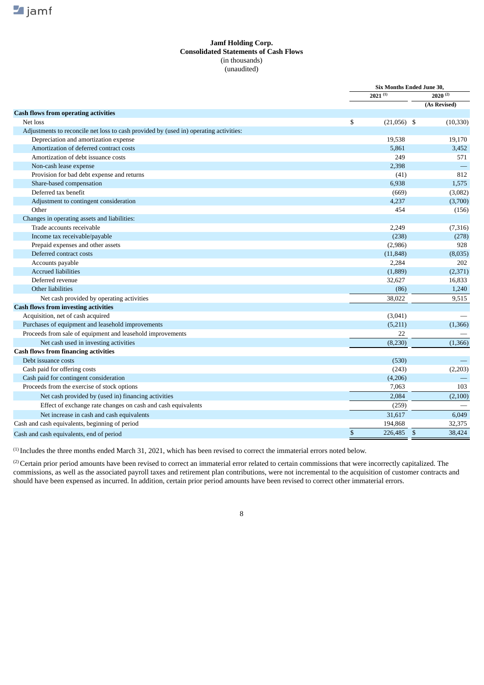#### **Jamf Holding Corp. Consolidated Statements of Cash Flows** (in thousands) (unaudited)

|                                                                                       | <b>Six Months Ended June 30,</b> |              |           |
|---------------------------------------------------------------------------------------|----------------------------------|--------------|-----------|
|                                                                                       | $2021^{(1)}$                     | $2020^{(2)}$ |           |
|                                                                                       |                                  | (As Revised) |           |
| <b>Cash flows from operating activities</b>                                           |                                  |              |           |
| Net loss                                                                              | \$<br>$(21,056)$ \$              |              | (10, 330) |
| Adjustments to reconcile net loss to cash provided by (used in) operating activities: |                                  |              |           |
| Depreciation and amortization expense                                                 | 19,538                           |              | 19,170    |
| Amortization of deferred contract costs                                               | 5,861                            |              | 3,452     |
| Amortization of debt issuance costs                                                   | 249                              |              | 571       |
| Non-cash lease expense                                                                | 2,398                            |              |           |
| Provision for bad debt expense and returns                                            | (41)                             |              | 812       |
| Share-based compensation                                                              | 6,938                            |              | 1,575     |
| Deferred tax benefit                                                                  | (669)                            |              | (3,082)   |
| Adjustment to contingent consideration                                                | 4,237                            |              | (3,700)   |
| Other                                                                                 | 454                              |              | (156)     |
| Changes in operating assets and liabilities:                                          |                                  |              |           |
| Trade accounts receivable                                                             | 2,249                            |              | (7,316)   |
| Income tax receivable/payable                                                         | (238)                            |              | (278)     |
| Prepaid expenses and other assets                                                     | (2,986)                          |              | 928       |
| Deferred contract costs                                                               | (11, 848)                        |              | (8,035)   |
| Accounts payable                                                                      | 2,284                            |              | 202       |
| <b>Accrued liabilities</b>                                                            | (1,889)                          |              | (2, 371)  |
| Deferred revenue                                                                      | 32,627                           |              | 16,833    |
| Other liabilities                                                                     | (86)                             |              | 1,240     |
| Net cash provided by operating activities                                             | 38,022                           |              | 9,515     |
| <b>Cash flows from investing activities</b>                                           |                                  |              |           |
| Acquisition, net of cash acquired                                                     | (3,041)                          |              |           |
| Purchases of equipment and leasehold improvements                                     | (5,211)                          |              | (1,366)   |
| Proceeds from sale of equipment and leasehold improvements                            | 22                               |              |           |
| Net cash used in investing activities                                                 | (8,230)                          |              | (1, 366)  |
| <b>Cash flows from financing activities</b>                                           |                                  |              |           |
| Debt issuance costs                                                                   | (530)                            |              |           |
| Cash paid for offering costs                                                          | (243)                            |              | (2,203)   |
| Cash paid for contingent consideration                                                | (4,206)                          |              |           |
| Proceeds from the exercise of stock options                                           | 7,063                            |              | 103       |
| Net cash provided by (used in) financing activities                                   | 2,084                            |              | (2,100)   |
| Effect of exchange rate changes on cash and cash equivalents                          | (259)                            |              |           |
| Net increase in cash and cash equivalents                                             | 31,617                           |              | 6,049     |
| Cash and cash equivalents, beginning of period                                        | 194,868                          |              | 32,375    |
|                                                                                       | \$<br>226,485 \$                 |              | 38,424    |
| Cash and cash equivalents, end of period                                              |                                  |              |           |

 $<sup>(1)</sup>$  Includes the three months ended March 31, 2021, which has been revised to correct the immaterial errors noted below.</sup>

 $^{(2)}$  Certain prior period amounts have been revised to correct an immaterial error related to certain commissions that were incorrectly capitalized. The commissions, as well as the associated payroll taxes and retirement plan contributions, were not incremental to the acquisition of customer contracts and should have been expensed as incurred. In addition, certain prior period amounts have been revised to correct other immaterial errors.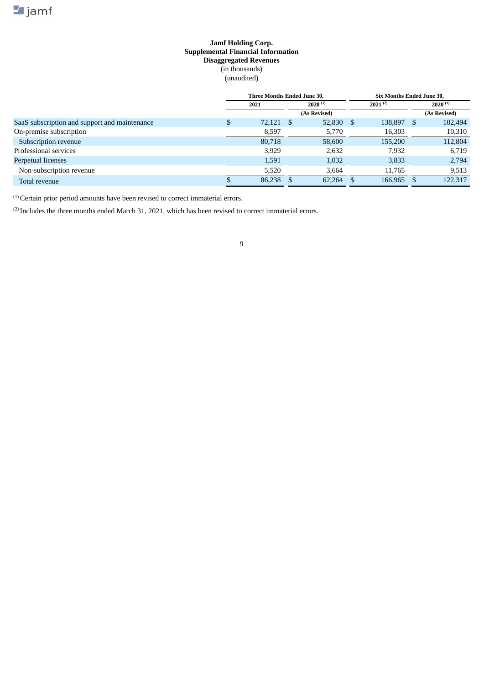#### **Jamf Holding Corp. Supplemental Financial Information Disaggregated Revenues** (in thousands) (unaudited)

| Three Months Ended June 30, |        |              |              |              | Six Months Ended June 30, |  |              |  |
|-----------------------------|--------|--------------|--------------|--------------|---------------------------|--|--------------|--|
|                             | 2021   | $2020^{(1)}$ |              | $2021^{(2)}$ |                           |  | $2020^{(1)}$ |  |
|                             |        |              | (As Revised) |              |                           |  | (As Revised) |  |
| D                           | 72,121 | -S           | 52,830       |              | 138,897                   |  | 102,494      |  |
|                             | 8.597  |              | 5,770        |              | 16,303                    |  | 10,310       |  |
|                             | 80,718 |              | 58,600       |              | 155,200                   |  | 112,804      |  |
|                             | 3.929  |              | 2,632        |              | 7,932                     |  | 6,719        |  |
|                             | 1,591  |              | 1,032        |              | 3,833                     |  | 2,794        |  |
|                             | 5,520  |              | 3.664        |              | 11,765                    |  | 9,513        |  |
|                             | 86,238 |              | 62,264       |              | 166,965                   |  | 122,317      |  |
|                             |        |              |              |              | <b>S</b>                  |  | - \$         |  |

 $<sup>(1)</sup>$  Certain prior period amounts have been revised to correct immaterial errors.</sup>

 $^{(2)}$  Includes the three months ended March 31, 2021, which has been revised to correct immaterial errors.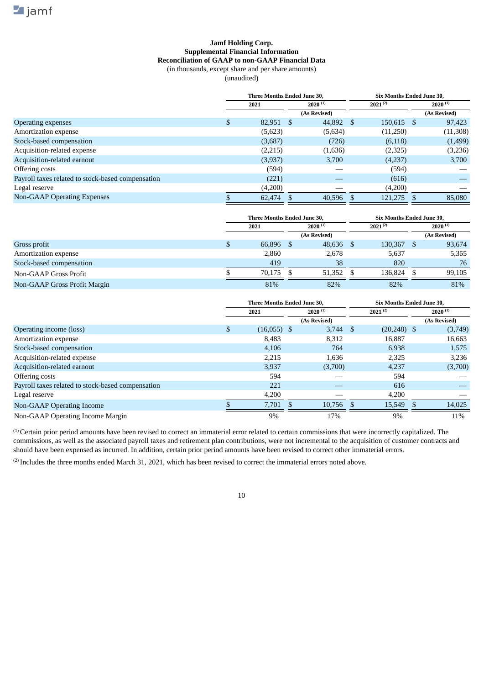#### **Jamf Holding Corp. Supplemental Financial Information Reconciliation of GAAP to non-GAAP Financial Data** (in thousands, except share and per share amounts)

(unaudited)

|                                                   |      | <b>Three Months Ended June 30.</b> |              | <b>Six Months Ended June 30.</b> |              |            |  |              |
|---------------------------------------------------|------|------------------------------------|--------------|----------------------------------|--------------|------------|--|--------------|
|                                                   | 2021 |                                    | $2020^{(1)}$ |                                  | $2021^{(2)}$ |            |  | $2020^{(1)}$ |
|                                                   |      |                                    |              | (As Revised)                     |              |            |  | (As Revised) |
| <b>Operating expenses</b>                         | D    | 82,951                             | -S           | 44,892                           | - S          | 150,615 \$ |  | 97,423       |
| Amortization expense                              |      | (5,623)                            |              | (5,634)                          |              | (11,250)   |  | (11,308)     |
| Stock-based compensation                          |      | (3,687)                            |              | (726)                            |              | (6, 118)   |  | (1,499)      |
| Acquisition-related expense                       |      | (2,215)                            |              | (1,636)                          |              | (2,325)    |  | (3,236)      |
| Acquisition-related earnout                       |      | (3,937)                            |              | 3,700                            |              | (4,237)    |  | 3,700        |
| Offering costs                                    |      | (594)                              |              |                                  |              | (594)      |  |              |
| Payroll taxes related to stock-based compensation |      | (221)                              |              |                                  |              | (616)      |  |              |
| Legal reserve                                     |      | (4,200)                            |              |                                  |              | (4,200)    |  |              |
| <b>Non-GAAP Operating Expenses</b>                |      | 62,474                             |              | 40,596                           |              | 121.275    |  | 85,080       |

|                              | <b>Three Months Ended June 30.</b> |  |              |  | <b>Six Months Ended June 30.</b> |  |              |  |
|------------------------------|------------------------------------|--|--------------|--|----------------------------------|--|--------------|--|
|                              | 2021                               |  | $2020^{(1)}$ |  | $2021^{(2)}$                     |  | $2020^{(1)}$ |  |
|                              |                                    |  | (As Revised) |  |                                  |  | (As Revised) |  |
| Gross profit                 | \$<br>66,896                       |  | 48,636       |  | 130,367                          |  | 93,674       |  |
| Amortization expense         | 2,860                              |  | 2,678        |  | 5,637                            |  | 5,355        |  |
| Stock-based compensation     | 419                                |  | 38           |  | 820                              |  | 76           |  |
| Non-GAAP Gross Profit        | 70.175                             |  | 51.352       |  | 136.824                          |  | 99,105       |  |
| Non-GAAP Gross Profit Margin | 81%                                |  | 82%          |  | 82%                              |  | 81%          |  |

|                                                   |      | Three Months Ended June 30, |  |              |      | Six Months Ended June 30, |  |              |  |
|---------------------------------------------------|------|-----------------------------|--|--------------|------|---------------------------|--|--------------|--|
|                                                   | 2021 |                             |  | $2020^{(1)}$ |      | $2021^{(2)}$              |  | $2020^{(1)}$ |  |
|                                                   |      |                             |  | (As Revised) |      |                           |  | (As Revised) |  |
| Operating income (loss)                           | \$   | $(16,055)$ \$               |  | 3,744        | - \$ | $(20, 248)$ \$            |  | (3,749)      |  |
| Amortization expense                              |      | 8,483                       |  | 8,312        |      | 16,887                    |  | 16,663       |  |
| Stock-based compensation                          |      | 4,106                       |  | 764          |      | 6,938                     |  | 1,575        |  |
| Acquisition-related expense                       |      | 2,215                       |  | 1,636        |      | 2,325                     |  | 3,236        |  |
| Acquisition-related earnout                       |      | 3,937                       |  | (3,700)      |      | 4,237                     |  | (3,700)      |  |
| Offering costs                                    |      | 594                         |  |              |      | 594                       |  |              |  |
| Payroll taxes related to stock-based compensation |      | 221                         |  |              |      | 616                       |  |              |  |
| Legal reserve                                     |      | 4,200                       |  |              |      | 4,200                     |  |              |  |
| Non-GAAP Operating Income                         |      | 7,701                       |  | 10,756       | - \$ | 15,549                    |  | 14,025       |  |
| Non-GAAP Operating Income Margin                  |      | 9%                          |  | 17%          |      | 9%                        |  | 11%          |  |

 $<sup>(1)</sup>$  Certain prior period amounts have been revised to correct an immaterial error related to certain commissions that were incorrectly capitalized. The</sup> commissions, as well as the associated payroll taxes and retirement plan contributions, were not incremental to the acquisition of customer contracts and should have been expensed as incurred. In addition, certain prior period amounts have been revised to correct other immaterial errors.

 $^{(2)}$  Includes the three months ended March 31, 2021, which has been revised to correct the immaterial errors noted above.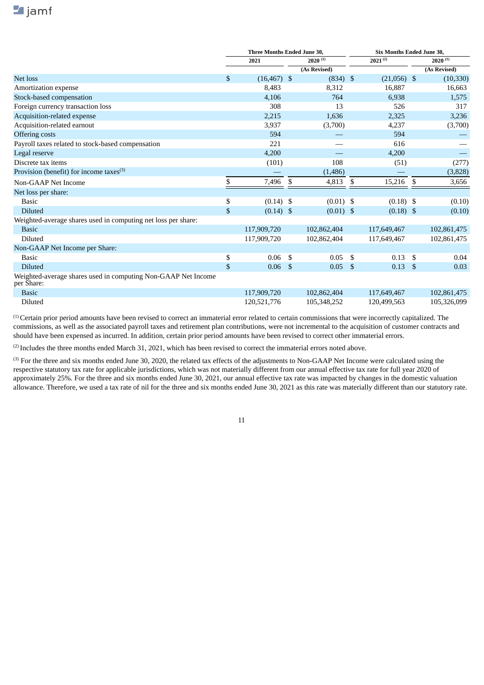### $\blacksquare$ jamf

|                                                                             | <b>Three Months Ended June 30,</b> |             |              |              | <b>Six Months Ended June 30,</b> |               |              |              |
|-----------------------------------------------------------------------------|------------------------------------|-------------|--------------|--------------|----------------------------------|---------------|--------------|--------------|
|                                                                             | 2021                               |             | $2020^{(1)}$ |              | $2021^{(2)}$                     |               | $2020^{(1)}$ |              |
|                                                                             |                                    |             |              | (As Revised) |                                  |               |              | (As Revised) |
| <b>Net loss</b>                                                             | \$                                 | (16, 467)   | -\$          | $(834)$ \$   |                                  | $(21,056)$ \$ |              | (10, 330)    |
| Amortization expense                                                        |                                    | 8.483       |              | 8,312        |                                  | 16,887        |              | 16,663       |
| Stock-based compensation                                                    |                                    | 4,106       |              | 764          |                                  | 6,938         |              | 1,575        |
| Foreign currency transaction loss                                           |                                    | 308         |              | 13           |                                  | 526           |              | 317          |
| Acquisition-related expense                                                 |                                    | 2,215       |              | 1,636        |                                  | 2,325         |              | 3,236        |
| Acquisition-related earnout                                                 |                                    | 3,937       |              | (3,700)      |                                  | 4,237         |              | (3,700)      |
| Offering costs                                                              |                                    | 594         |              |              |                                  | 594           |              |              |
| Payroll taxes related to stock-based compensation                           |                                    | 221         |              |              |                                  | 616           |              |              |
| Legal reserve                                                               |                                    | 4,200       |              |              |                                  | 4,200         |              |              |
| Discrete tax items                                                          |                                    | (101)       |              | 108          |                                  | (51)          |              | (277)        |
| Provision (benefit) for income taxes $^{(3)}$                               |                                    |             |              | (1,486)      |                                  |               |              | (3,828)      |
| <b>Non-GAAP Net Income</b>                                                  |                                    | 7,496       | \$           | 4,813        | \$                               | 15,216        | - \$         | 3,656        |
| Net loss per share:                                                         |                                    |             |              |              |                                  |               |              |              |
| <b>Basic</b>                                                                | \$                                 | (0.14)      | -\$          | $(0.01)$ \$  |                                  | $(0.18)$ \$   |              | (0.10)       |
| <b>Diluted</b>                                                              | \$                                 | (0.14)      | -\$          | $(0.01)$ \$  |                                  | $(0.18)$ \$   |              | (0.10)       |
| Weighted-average shares used in computing net loss per share:               |                                    |             |              |              |                                  |               |              |              |
| <b>Basic</b>                                                                |                                    | 117,909,720 |              | 102,862,404  |                                  | 117,649,467   |              | 102,861,475  |
| Diluted                                                                     |                                    | 117,909,720 |              | 102,862,404  |                                  | 117,649,467   |              | 102,861,475  |
| Non-GAAP Net Income per Share:                                              |                                    |             |              |              |                                  |               |              |              |
| <b>Basic</b>                                                                | \$                                 | 0.06        | \$           | 0.05         | \$                               | 0.13          | -\$          | 0.04         |
| <b>Diluted</b>                                                              | $\mathbb{S}$                       | 0.06        | -S           | 0.05         | \$                               | 0.13          | - \$         | 0.03         |
| Weighted-average shares used in computing Non-GAAP Net Income<br>per Share: |                                    |             |              |              |                                  |               |              |              |
| <b>Basic</b>                                                                |                                    | 117,909,720 |              | 102,862,404  |                                  | 117,649,467   |              | 102,861,475  |
| <b>Diluted</b>                                                              |                                    | 120.521.776 |              | 105,348,252  |                                  | 120,499,563   |              | 105,326,099  |

 $<sup>(1)</sup>$  Certain prior period amounts have been revised to correct an immaterial error related to certain commissions that were incorrectly capitalized. The</sup> commissions, as well as the associated payroll taxes and retirement plan contributions, were not incremental to the acquisition of customer contracts and should have been expensed as incurred. In addition, certain prior period amounts have been revised to correct other immaterial errors.

 $^{(2)}$  Includes the three months ended March 31, 2021, which has been revised to correct the immaterial errors noted above.

 $(3)$  For the three and six months ended June 30, 2020, the related tax effects of the adjustments to Non-GAAP Net Income were calculated using the respective statutory tax rate for applicable jurisdictions, which was not materially different from our annual effective tax rate for full year 2020 of approximately 25%. For the three and six months ended June 30, 2021, our annual effective tax rate was impacted by changes in the domestic valuation allowance. Therefore, we used a tax rate of nil for the three and six months ended June 30, 2021 as this rate was materially different than our statutory rate.